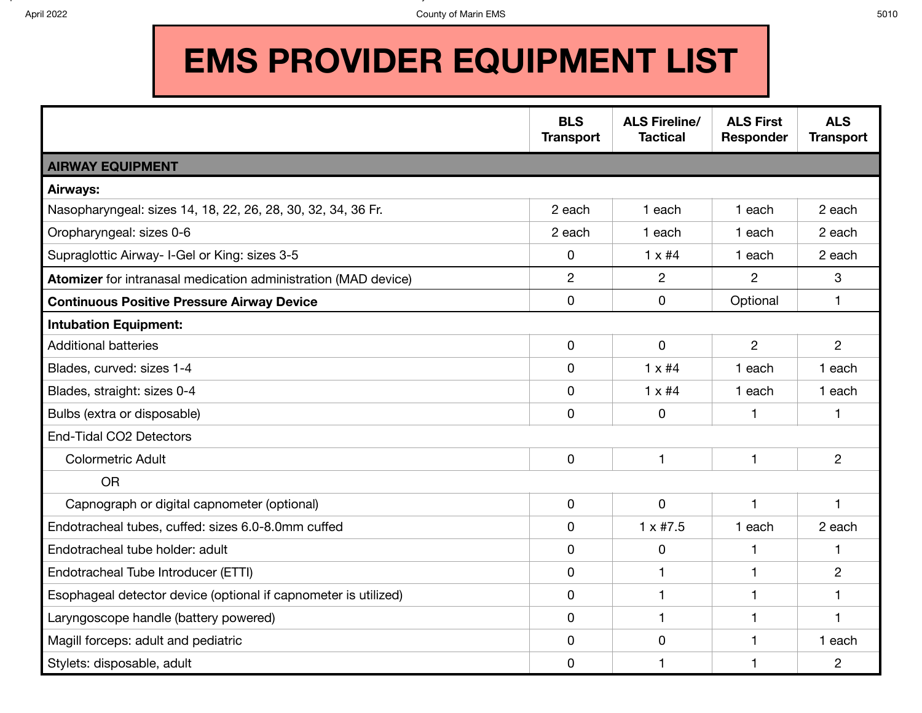$A$  and  $A$  and  $A$  and  $A$  and  $A$  and  $A$  and  $A$  and  $A$  and  $A$  and  $A$  and  $A$  and  $A$  and  $A$  and  $A$  and  $A$ 

## **EMS PROVIDER EQUIPMENT LIST**

|                                                                 | <b>BLS</b><br><b>Transport</b> | <b>ALS Fireline/</b><br><b>Tactical</b> | <b>ALS First</b><br>Responder | <b>ALS</b><br><b>Transport</b> |
|-----------------------------------------------------------------|--------------------------------|-----------------------------------------|-------------------------------|--------------------------------|
| <b>AIRWAY EQUIPMENT</b>                                         |                                |                                         |                               |                                |
| Airways:                                                        |                                |                                         |                               |                                |
| Nasopharyngeal: sizes 14, 18, 22, 26, 28, 30, 32, 34, 36 Fr.    | 2 each                         | 1 each                                  | 1 each                        | 2 each                         |
| Oropharyngeal: sizes 0-6                                        | 2 each                         | 1 each                                  | 1 each                        | 2 each                         |
| Supraglottic Airway- I-Gel or King: sizes 3-5                   | 0                              | $1 \times #4$                           | 1 each                        | 2 each                         |
| Atomizer for intranasal medication administration (MAD device)  | $\overline{2}$                 | $\overline{2}$                          | $\overline{2}$                | 3                              |
| <b>Continuous Positive Pressure Airway Device</b>               | 0                              | 0                                       | Optional                      | $\mathbf{1}$                   |
| <b>Intubation Equipment:</b>                                    |                                |                                         |                               |                                |
| <b>Additional batteries</b>                                     | 0                              | $\mathbf 0$                             | $\overline{2}$                | $\overline{2}$                 |
| Blades, curved: sizes 1-4                                       | 0                              | $1 \times #4$                           | 1 each                        | 1 each                         |
| Blades, straight: sizes 0-4                                     | 0                              | $1 \times #4$                           | 1 each                        | 1 each                         |
| Bulbs (extra or disposable)                                     | 0                              | 0                                       | 1                             | 1                              |
| End-Tidal CO2 Detectors                                         |                                |                                         |                               |                                |
| <b>Colormetric Adult</b>                                        | 0                              | $\mathbf{1}$                            | $\mathbf{1}$                  | $\overline{2}$                 |
| <b>OR</b>                                                       |                                |                                         |                               |                                |
| Capnograph or digital capnometer (optional)                     | 0                              | $\overline{0}$                          | $\mathbf{1}$                  | 1                              |
| Endotracheal tubes, cuffed: sizes 6.0-8.0mm cuffed              | 0                              | $1 \times #7.5$                         | 1 each                        | 2 each                         |
| Endotracheal tube holder: adult                                 | 0                              | $\mathbf 0$                             | $\mathbf{1}$                  | 1                              |
| Endotracheal Tube Introducer (ETTI)                             | 0                              | $\mathbf 1$                             | $\mathbf{1}$                  | $\overline{2}$                 |
| Esophageal detector device (optional if capnometer is utilized) | 0                              | $\mathbf{1}$                            | $\mathbf{1}$                  | 1                              |
| Laryngoscope handle (battery powered)                           | 0                              | 1                                       | 1                             | 1                              |
| Magill forceps: adult and pediatric                             | 0                              | 0                                       | $\mathbf{1}$                  | 1 each                         |
| Stylets: disposable, adult                                      | 0                              | 1                                       | 1                             | $\overline{2}$                 |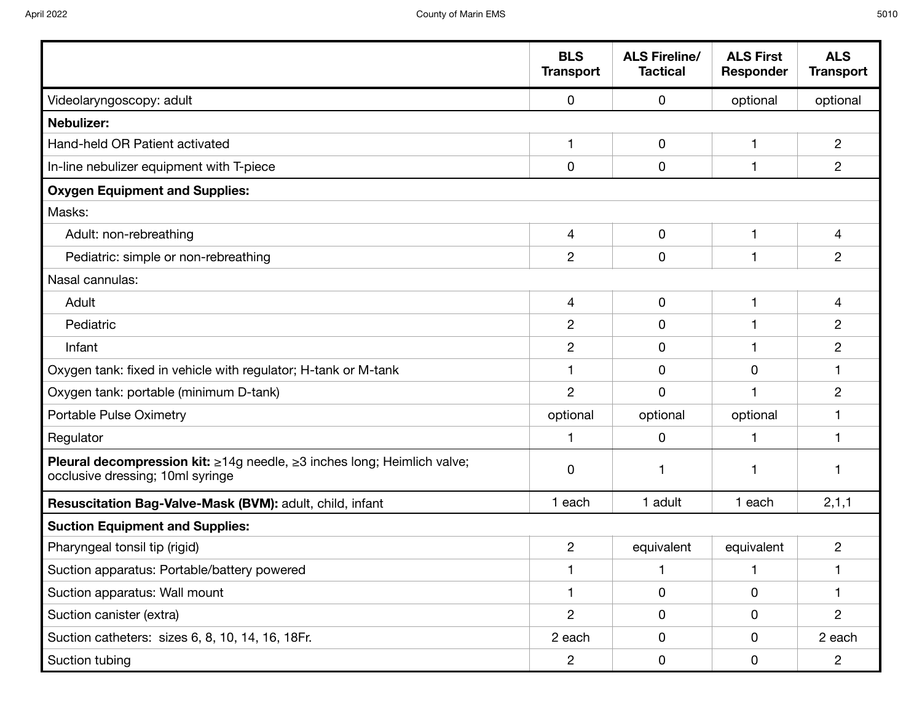|                                                                                                             | <b>BLS</b><br><b>Transport</b> | <b>ALS Fireline/</b><br><b>Tactical</b> | <b>ALS First</b><br><b>Responder</b> | <b>ALS</b><br><b>Transport</b> |
|-------------------------------------------------------------------------------------------------------------|--------------------------------|-----------------------------------------|--------------------------------------|--------------------------------|
| Videolaryngoscopy: adult                                                                                    | $\mathbf 0$                    | 0                                       | optional                             | optional                       |
| <b>Nebulizer:</b>                                                                                           |                                |                                         |                                      |                                |
| Hand-held OR Patient activated                                                                              | $\mathbf{1}$                   | $\mathbf 0$                             | $\mathbf 1$                          | $\overline{c}$                 |
| In-line nebulizer equipment with T-piece                                                                    | $\mathbf 0$                    | 0                                       | $\mathbf{1}$                         | $\overline{c}$                 |
| <b>Oxygen Equipment and Supplies:</b>                                                                       |                                |                                         |                                      |                                |
| Masks:                                                                                                      |                                |                                         |                                      |                                |
| Adult: non-rebreathing                                                                                      | $\overline{4}$                 | $\mathbf 0$                             | $\mathbf{1}$                         | 4                              |
| Pediatric: simple or non-rebreathing                                                                        | $\overline{2}$                 | 0                                       | $\overline{\phantom{a}}$             | $\overline{c}$                 |
| Nasal cannulas:                                                                                             |                                |                                         |                                      |                                |
| Adult                                                                                                       | 4                              | 0                                       |                                      | 4                              |
| Pediatric                                                                                                   | $\overline{2}$                 | 0                                       |                                      | 2                              |
| Infant                                                                                                      | $\overline{2}$                 | 0                                       | 1                                    | 2                              |
| Oxygen tank: fixed in vehicle with regulator; H-tank or M-tank                                              |                                | 0                                       | $\mathbf 0$                          |                                |
| Oxygen tank: portable (minimum D-tank)                                                                      | $\overline{2}$                 | $\mathbf 0$                             |                                      | 2                              |
| Portable Pulse Oximetry                                                                                     | optional                       | optional                                | optional                             |                                |
| Regulator                                                                                                   | 1                              | 0                                       | $\overline{\phantom{a}}$             |                                |
| Pleural decompression kit: ≥14g needle, ≥3 inches long; Heimlich valve;<br>occlusive dressing; 10ml syringe | $\mathbf 0$                    | 1                                       |                                      |                                |
| Resuscitation Bag-Valve-Mask (BVM): adult, child, infant                                                    | 1 each                         | 1 adult                                 | 1 each                               | 2, 1, 1                        |
| <b>Suction Equipment and Supplies:</b>                                                                      |                                |                                         |                                      |                                |
| Pharyngeal tonsil tip (rigid)                                                                               | $\overline{2}$                 | equivalent                              | equivalent                           | $\overline{c}$                 |
| Suction apparatus: Portable/battery powered                                                                 | $\mathbf 1$                    | 1                                       | $\mathbf{1}$                         |                                |
| Suction apparatus: Wall mount                                                                               |                                | 0                                       | 0                                    |                                |
| Suction canister (extra)                                                                                    | $\overline{2}$                 | 0                                       | 0                                    | $\overline{2}$                 |
| Suction catheters: sizes 6, 8, 10, 14, 16, 18Fr.                                                            | 2 each                         | 0                                       | 0                                    | 2 each                         |
| Suction tubing                                                                                              | $\overline{2}$                 | 0                                       | $\mathsf{O}$                         | $\overline{2}$                 |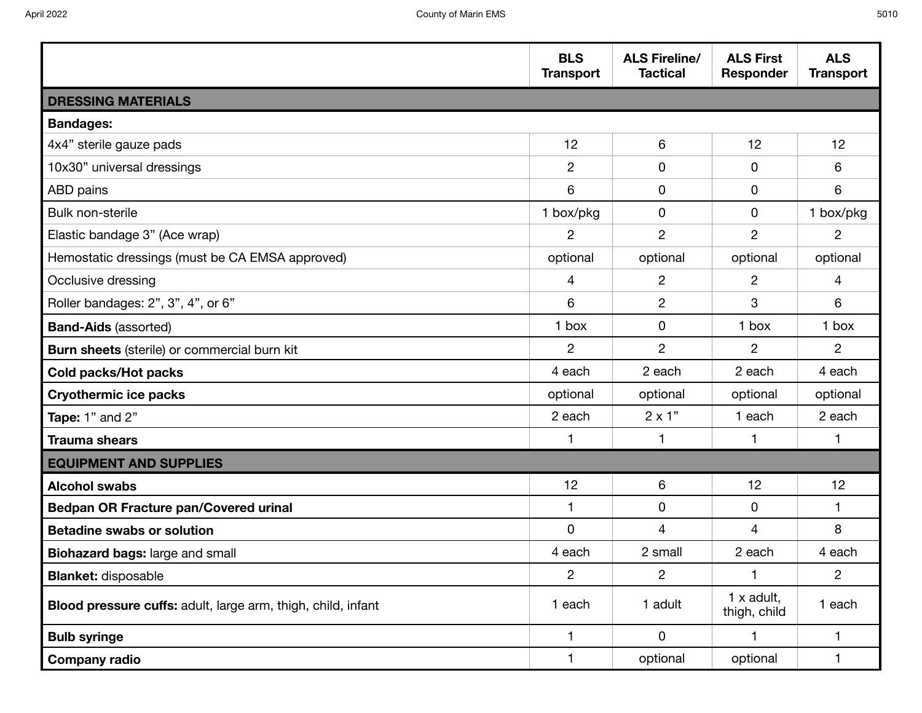| I<br>I<br>۰.<br>M.<br>۰.<br>×<br>×<br>۰. |
|------------------------------------------|
|------------------------------------------|

|                                                              | <b>BLS</b><br><b>Transport</b> | <b>ALS Fireline/</b><br><b>Tactical</b> | <b>ALS First</b><br><b>Responder</b> | <b>ALS</b><br><b>Transport</b> |
|--------------------------------------------------------------|--------------------------------|-----------------------------------------|--------------------------------------|--------------------------------|
| <b>DRESSING MATERIALS</b>                                    |                                |                                         |                                      |                                |
| <b>Bandages:</b>                                             |                                |                                         |                                      |                                |
| 4x4" sterile gauze pads                                      | 12                             | 6                                       | 12                                   | 12                             |
| 10x30" universal dressings                                   | $\overline{2}$                 | 0                                       | 0                                    | 6                              |
| ABD pains                                                    | 6                              | $\mathbf 0$                             | 0                                    | 6                              |
| Bulk non-sterile                                             | 1 box/pkg                      | $\mathbf 0$                             | 0                                    | 1 box/pkg                      |
| Elastic bandage 3" (Ace wrap)                                | 2                              | $\overline{2}$                          | $\overline{2}$                       | $\overline{2}$                 |
| Hemostatic dressings (must be CA EMSA approved)              | optional                       | optional                                | optional                             | optional                       |
| Occlusive dressing                                           | 4                              | $\overline{c}$                          | $\overline{c}$                       | 4                              |
| Roller bandages: 2", 3", 4", or 6"                           | 6                              | $\overline{c}$                          | 3                                    | 6                              |
| <b>Band-Aids (assorted)</b>                                  | 1 box                          | $\mathbf 0$                             | 1 box                                | 1 box                          |
| Burn sheets (sterile) or commercial burn kit                 | $\overline{2}$                 | $\overline{2}$                          | $\overline{2}$                       | $\overline{2}$                 |
| <b>Cold packs/Hot packs</b>                                  | 4 each                         | 2 each                                  | 2 each                               | 4 each                         |
| <b>Cryothermic ice packs</b>                                 | optional                       | optional                                | optional                             | optional                       |
| Tape: 1" and 2"                                              | 2 each                         | $2 \times 1"$                           | 1 each                               | 2 each                         |
| <b>Trauma shears</b>                                         | $\mathbf 1$                    | 1                                       | 1.                                   | 1                              |
| <b>EQUIPMENT AND SUPPLIES</b>                                |                                |                                         |                                      |                                |
| <b>Alcohol swabs</b>                                         | 12                             | 6                                       | 12                                   | 12                             |
| <b>Bedpan OR Fracture pan/Covered urinal</b>                 | $\mathbf{1}$                   | $\mathbf 0$                             | 0                                    | $\mathbf{1}$                   |
| <b>Betadine swabs or solution</b>                            | 0                              | 4                                       | 4                                    | 8                              |
| Biohazard bags: large and small                              | 4 each                         | 2 small                                 | 2 each                               | 4 each                         |
| <b>Blanket: disposable</b>                                   | $\overline{c}$                 | $\overline{2}$                          | 1                                    | $\mathbf{2}$                   |
| Blood pressure cuffs: adult, large arm, thigh, child, infant | 1 each                         | 1 adult                                 | $1x$ adult,<br>thigh, child          | 1 each                         |
| <b>Bulb syringe</b>                                          | 1                              | $\mathsf{O}$                            | $\mathbf{1}$                         | 1                              |
| <b>Company radio</b>                                         | $\mathbf{1}$                   | optional                                | optional                             | 1                              |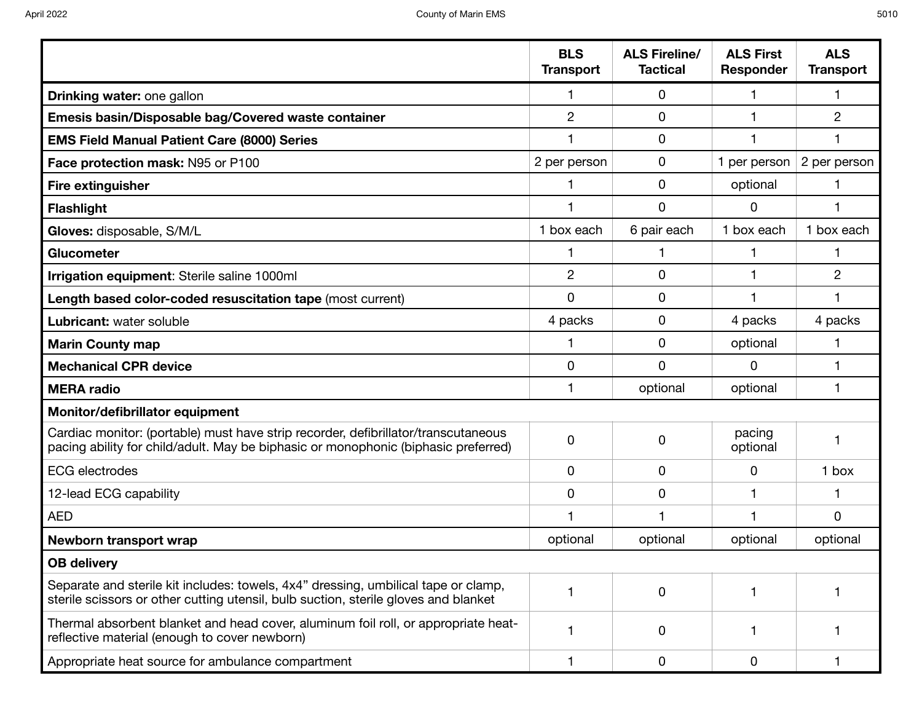|                                                                                                                                                                           | <b>BLS</b><br><b>Transport</b> | <b>ALS Fireline/</b><br><b>Tactical</b> | <b>ALS First</b><br>Responder | <b>ALS</b><br><b>Transport</b> |
|---------------------------------------------------------------------------------------------------------------------------------------------------------------------------|--------------------------------|-----------------------------------------|-------------------------------|--------------------------------|
| Drinking water: one gallon                                                                                                                                                |                                | 0                                       | 1                             | 1                              |
| Emesis basin/Disposable bag/Covered waste container                                                                                                                       | $\overline{2}$                 | 0                                       |                               | $\overline{2}$                 |
| <b>EMS Field Manual Patient Care (8000) Series</b>                                                                                                                        | 1                              | 0                                       | 1                             | 1                              |
| Face protection mask: N95 or P100                                                                                                                                         | 2 per person                   | 0                                       | 1 per person                  | 2 per person                   |
| <b>Fire extinguisher</b>                                                                                                                                                  |                                | 0                                       | optional                      | 1                              |
| <b>Flashlight</b>                                                                                                                                                         |                                | $\mathbf 0$                             | 0                             | 1                              |
| Gloves: disposable, S/M/L                                                                                                                                                 | 1 box each                     | 6 pair each                             | 1 box each                    | 1 box each                     |
| <b>Glucometer</b>                                                                                                                                                         |                                | 1                                       |                               | 1                              |
| Irrigation equipment: Sterile saline 1000ml                                                                                                                               | $\overline{2}$                 | 0                                       |                               | $\overline{2}$                 |
| Length based color-coded resuscitation tape (most current)                                                                                                                | 0                              | $\mathbf 0$                             | 1                             | 1                              |
| Lubricant: water soluble                                                                                                                                                  | 4 packs                        | 0                                       | 4 packs                       | 4 packs                        |
| <b>Marin County map</b>                                                                                                                                                   |                                | 0                                       | optional                      | 1                              |
| <b>Mechanical CPR device</b>                                                                                                                                              | 0                              | $\Omega$                                | 0                             | 1                              |
| <b>MERA</b> radio                                                                                                                                                         |                                | optional                                | optional                      | 1                              |
| Monitor/defibrillator equipment                                                                                                                                           |                                |                                         |                               |                                |
| Cardiac monitor: (portable) must have strip recorder, defibrillator/transcutaneous<br>pacing ability for child/adult. May be biphasic or monophonic (biphasic preferred)  | 0                              | 0                                       | pacing<br>optional            |                                |
| <b>ECG</b> electrodes                                                                                                                                                     | 0                              | 0                                       | 0                             | 1 box                          |
| 12-lead ECG capability                                                                                                                                                    | 0                              | 0                                       |                               |                                |
| <b>AED</b>                                                                                                                                                                | 1                              | 1                                       |                               | 0                              |
| Newborn transport wrap                                                                                                                                                    | optional                       | optional                                | optional                      | optional                       |
| <b>OB delivery</b>                                                                                                                                                        |                                |                                         |                               |                                |
| Separate and sterile kit includes: towels, 4x4" dressing, umbilical tape or clamp,<br>sterile scissors or other cutting utensil, bulb suction, sterile gloves and blanket |                                | 0                                       | 1                             |                                |
| Thermal absorbent blanket and head cover, aluminum foil roll, or appropriate heat-<br>reflective material (enough to cover newborn)                                       | 1                              | 0                                       | 1                             |                                |
| Appropriate heat source for ambulance compartment                                                                                                                         |                                | 0                                       | $\pmb{0}$                     |                                |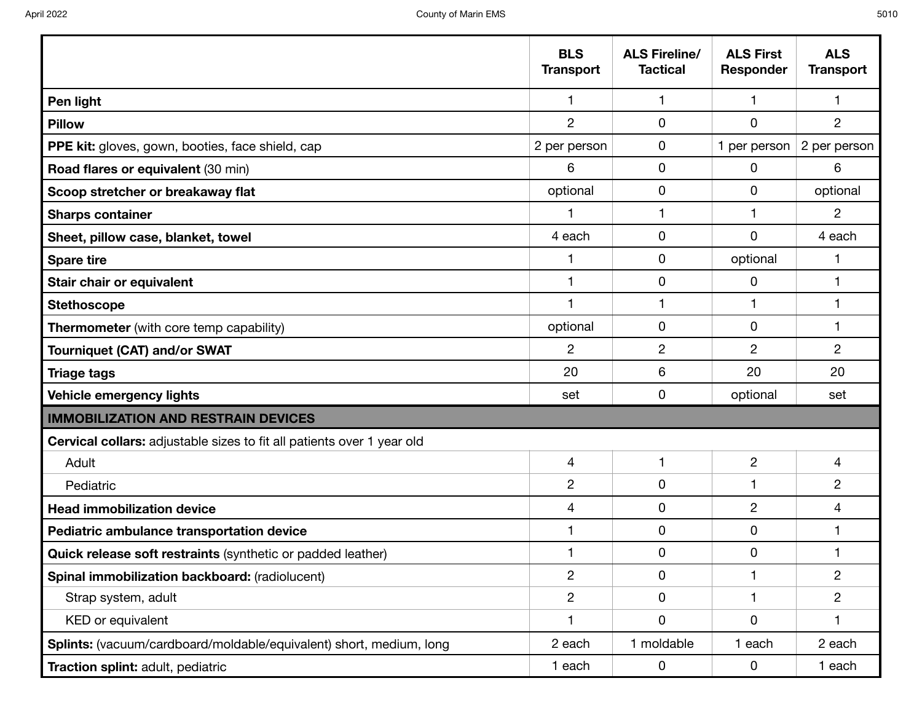|                                                                               | <b>BLS</b><br><b>Transport</b> | <b>ALS Fireline/</b><br><b>Tactical</b> | <b>ALS First</b><br>Responder | <b>ALS</b><br><b>Transport</b> |
|-------------------------------------------------------------------------------|--------------------------------|-----------------------------------------|-------------------------------|--------------------------------|
| Pen light                                                                     | $\mathbf{1}$                   | $\mathbf{1}$                            | $\mathbf{1}$                  | $\mathbf{1}$                   |
| <b>Pillow</b>                                                                 | $\overline{2}$                 | 0                                       | $\mathbf 0$                   | $\overline{2}$                 |
| PPE kit: gloves, gown, booties, face shield, cap                              | 2 per person                   | 0                                       | 1 per person                  | 2 per person                   |
| Road flares or equivalent (30 min)                                            | 6                              | $\mathbf 0$                             | 0                             | 6                              |
| Scoop stretcher or breakaway flat                                             | optional                       | 0                                       | 0                             | optional                       |
| <b>Sharps container</b>                                                       |                                | 1                                       | 1                             | $\overline{2}$                 |
| Sheet, pillow case, blanket, towel                                            | 4 each                         | 0                                       | 0                             | 4 each                         |
| <b>Spare tire</b>                                                             |                                | 0                                       | optional                      | 1                              |
| Stair chair or equivalent                                                     | 1                              | 0                                       | 0                             | 1                              |
| <b>Stethoscope</b>                                                            |                                | 1                                       | 1                             | 1                              |
| <b>Thermometer</b> (with core temp capability)                                | optional                       | 0                                       | 0                             | 1                              |
| <b>Tourniquet (CAT) and/or SWAT</b>                                           | $\overline{c}$                 | $\overline{2}$                          | 2                             | $\overline{2}$                 |
| <b>Triage tags</b>                                                            | 20                             | 6                                       | 20                            | 20                             |
| Vehicle emergency lights                                                      | set                            | 0                                       | optional                      | set                            |
| <b>IMMOBILIZATION AND RESTRAIN DEVICES</b>                                    |                                |                                         |                               |                                |
| <b>Cervical collars:</b> adjustable sizes to fit all patients over 1 year old |                                |                                         |                               |                                |
| Adult                                                                         | 4                              | 1                                       | $\overline{c}$                | 4                              |
| Pediatric                                                                     | $\overline{2}$                 | 0                                       | 1                             | $\overline{c}$                 |
| <b>Head immobilization device</b>                                             | 4                              | 0                                       | $\overline{c}$                | 4                              |
| Pediatric ambulance transportation device                                     |                                | 0                                       | 0                             | 1                              |
| Quick release soft restraints (synthetic or padded leather)                   | 1                              | 0                                       | 0                             | 1                              |
| Spinal immobilization backboard: (radiolucent)                                | $\overline{c}$                 | $\mathbf 0$                             | $\mathbf{1}$                  | $\overline{c}$                 |
| Strap system, adult                                                           | $\overline{c}$                 | $\mathbf 0$                             | 1                             | $\overline{2}$                 |
| KED or equivalent                                                             | 1                              | $\mathbf 0$                             | 0                             | 1                              |
| Splints: (vacuum/cardboard/moldable/equivalent) short, medium, long           | 2 each                         | 1 moldable                              | 1 each                        | 2 each                         |
| Traction splint: adult, pediatric                                             | 1 each                         | $\mathbf 0$                             | 0                             | 1 each                         |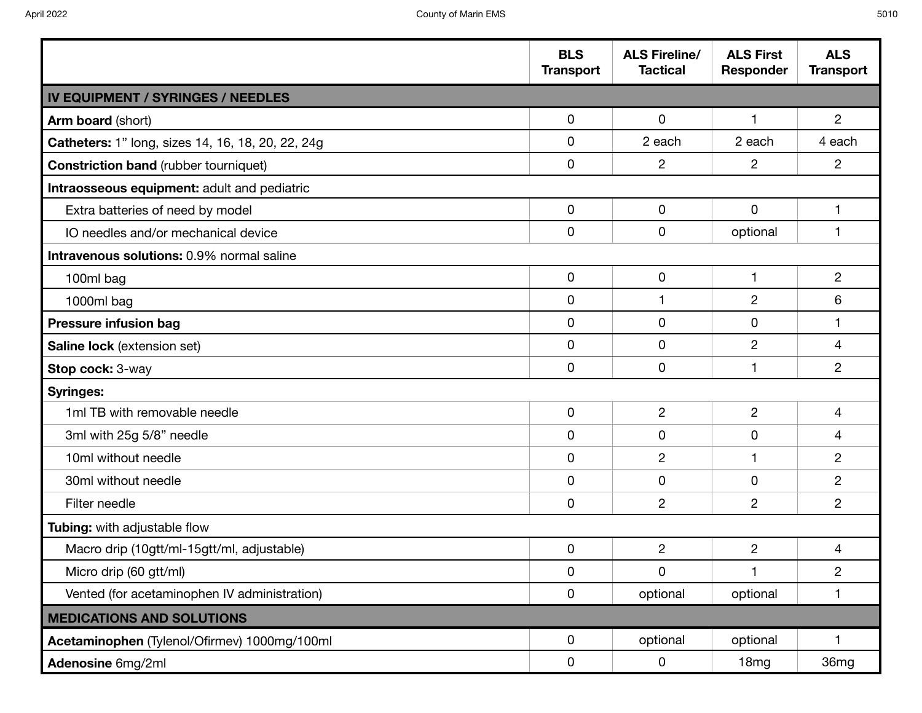|                                                   | <b>BLS</b><br><b>Transport</b> | <b>ALS Fireline/</b><br><b>Tactical</b> | <b>ALS First</b><br><b>Responder</b> | <b>ALS</b><br><b>Transport</b> |
|---------------------------------------------------|--------------------------------|-----------------------------------------|--------------------------------------|--------------------------------|
| <b>IV EQUIPMENT / SYRINGES / NEEDLES</b>          |                                |                                         |                                      |                                |
| Arm board (short)                                 | 0                              | 0                                       | $\mathbf 1$                          | $\overline{2}$                 |
| Catheters: 1" long, sizes 14, 16, 18, 20, 22, 24g | 0                              | 2 each                                  | 2 each                               | 4 each                         |
| <b>Constriction band (rubber tourniquet)</b>      | 0                              | $\overline{2}$                          | $\overline{c}$                       | $\overline{2}$                 |
| Intraosseous equipment: adult and pediatric       |                                |                                         |                                      |                                |
| Extra batteries of need by model                  | 0                              | 0                                       | 0                                    | $\mathbf{1}$                   |
| IO needles and/or mechanical device               | 0                              | 0                                       | optional                             | $\mathbf{1}$                   |
| Intravenous solutions: 0.9% normal saline         |                                |                                         |                                      |                                |
| 100ml bag                                         | 0                              | $\mathbf 0$                             | $\mathbf{1}$                         | $\overline{2}$                 |
| 1000ml bag                                        | 0                              |                                         | $\overline{c}$                       | 6                              |
| <b>Pressure infusion bag</b>                      | 0                              | $\mathbf 0$                             | $\mathbf 0$                          | 1                              |
| <b>Saline lock</b> (extension set)                | 0                              | 0                                       | $\overline{c}$                       | 4                              |
| Stop cock: 3-way                                  | 0                              | 0                                       | 1                                    | $\overline{2}$                 |
| <b>Syringes:</b>                                  |                                |                                         |                                      |                                |
| 1ml TB with removable needle                      | 0                              | $\overline{2}$                          | $\overline{c}$                       | 4                              |
| 3ml with 25g 5/8" needle                          | 0                              | $\mathbf 0$                             | 0                                    | 4                              |
| 10ml without needle                               | 0                              | $\overline{2}$                          | 1                                    | $\overline{c}$                 |
| 30ml without needle                               | 0                              | $\mathbf 0$                             | 0                                    | $\overline{c}$                 |
| Filter needle                                     | 0                              | $\overline{2}$                          | $\overline{2}$                       | $\overline{2}$                 |
| Tubing: with adjustable flow                      |                                |                                         |                                      |                                |
| Macro drip (10gtt/ml-15gtt/ml, adjustable)        | 0                              | $\overline{2}$                          | $\overline{2}$                       | 4                              |
| Micro drip (60 gtt/ml)                            | 0                              | 0                                       | 1                                    | $\overline{c}$                 |
| Vented (for acetaminophen IV administration)      | 0                              | optional                                | optional                             | 1                              |
| <b>MEDICATIONS AND SOLUTIONS</b>                  |                                |                                         |                                      |                                |
| Acetaminophen (Tylenol/Ofirmev) 1000mg/100ml      | 0                              | optional                                | optional                             | 1.                             |
| Adenosine 6mg/2ml                                 | 0                              | 0                                       | 18mg                                 | 36mg                           |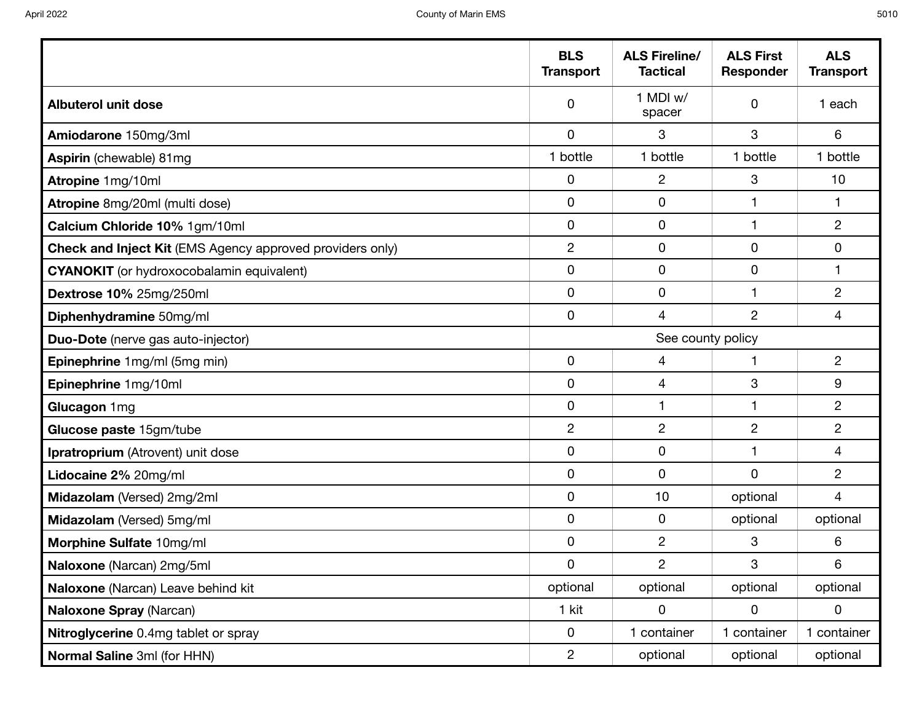|                                                                  | <b>BLS</b><br><b>Transport</b> | <b>ALS Fireline/</b><br><b>Tactical</b> | <b>ALS First</b><br><b>Responder</b> | <b>ALS</b><br><b>Transport</b> |
|------------------------------------------------------------------|--------------------------------|-----------------------------------------|--------------------------------------|--------------------------------|
| <b>Albuterol unit dose</b>                                       | 0                              | 1 MDI w/<br>spacer                      | 0                                    | 1 each                         |
| Amiodarone 150mg/3ml                                             | $\mathbf 0$                    | 3                                       | 3                                    | 6                              |
| Aspirin (chewable) 81mg                                          | 1 bottle                       | 1 bottle                                | 1 bottle                             | 1 bottle                       |
| Atropine 1mg/10ml                                                | $\mathbf 0$                    | $\overline{c}$                          | 3                                    | 10 <sub>1</sub>                |
| Atropine 8mg/20ml (multi dose)                                   | 0                              | 0                                       | 1                                    |                                |
| Calcium Chloride 10% 1gm/10ml                                    | 0                              | $\mathbf 0$                             | 1                                    | $\overline{c}$                 |
| <b>Check and Inject Kit (EMS Agency approved providers only)</b> | $\overline{c}$                 | 0                                       | $\mathbf 0$                          | $\mathbf 0$                    |
| <b>CYANOKIT</b> (or hydroxocobalamin equivalent)                 | 0                              | 0                                       | $\mathbf 0$                          | 1                              |
| Dextrose 10% 25mg/250ml                                          | 0                              | 0                                       | $\mathbf{1}$                         | $\overline{c}$                 |
| Diphenhydramine 50mg/ml                                          | 0                              | 4                                       | $\overline{2}$                       | 4                              |
| Duo-Dote (nerve gas auto-injector)                               |                                | See county policy                       |                                      |                                |
| Epinephrine 1mg/ml (5mg min)                                     | $\mathbf 0$                    | 4                                       | $\mathbf{1}$                         | $\overline{c}$                 |
| Epinephrine 1mg/10ml                                             | 0                              | 4                                       | 3                                    | 9                              |
| Glucagon 1mg                                                     | $\mathbf 0$                    | 1                                       | 1                                    | $\overline{c}$                 |
| Glucose paste 15gm/tube                                          | $\overline{2}$                 | $\overline{c}$                          | $\overline{c}$                       | $\overline{c}$                 |
| Ipratroprium (Atrovent) unit dose                                | $\mathbf 0$                    | 0                                       | 1                                    | $\overline{4}$                 |
| Lidocaine 2% 20mg/ml                                             | $\mathbf 0$                    | $\mathbf 0$                             | $\mathbf 0$                          | $\overline{c}$                 |
| Midazolam (Versed) 2mg/2ml                                       | 0                              | 10                                      | optional                             | $\overline{4}$                 |
| Midazolam (Versed) 5mg/ml                                        | 0                              | 0                                       | optional                             | optional                       |
| Morphine Sulfate 10mg/ml                                         | $\mathbf 0$                    | $\overline{c}$                          | 3                                    | 6                              |
| Naloxone (Narcan) 2mg/5ml                                        | 0                              | $\overline{c}$                          | 3                                    | 6                              |
| Naloxone (Narcan) Leave behind kit                               | optional                       | optional                                | optional                             | optional                       |
| Naloxone Spray (Narcan)                                          | 1 kit                          | 0                                       | 0                                    | 0                              |
| Nitroglycerine 0.4mg tablet or spray                             | $\mathbf 0$                    | 1 container                             | 1 container                          | 1 container                    |
| Normal Saline 3ml (for HHN)                                      | $\overline{2}$                 | optional                                | optional                             | optional                       |